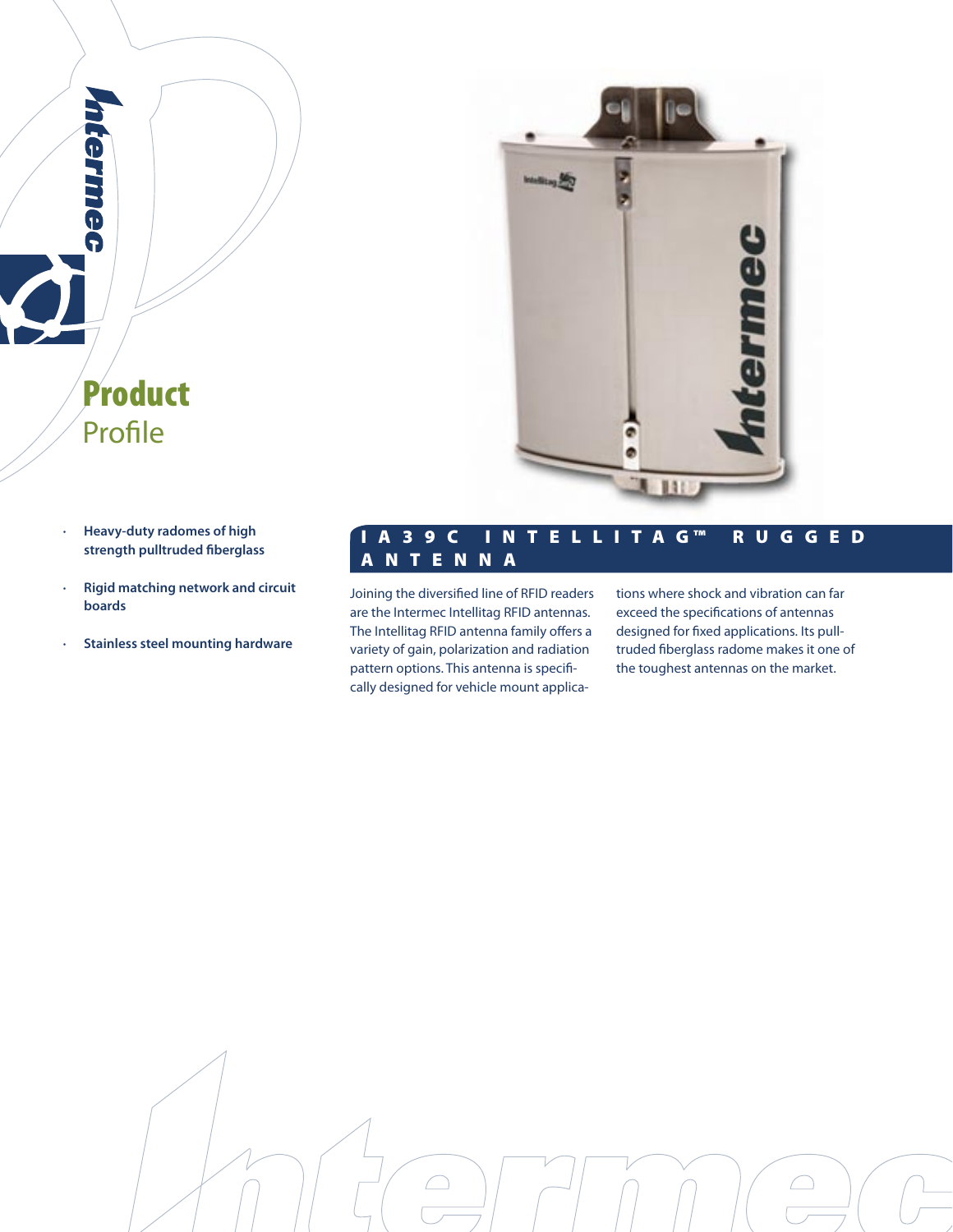

**· Heavy-duty radomes of high strength pulltruded fiberglass**

Product

Profile

**Cermiec** 

- **· Rigid matching network and circuit boards**
- **· Stainless steel mounting hardware**

# I A 3 9 C I N T E L L I T A G ™ R U G G E D A N T E N N A

Joining the diversified line of RFID readers are the Intermec Intellitag RFID antennas. The Intellitag RFID antenna family offers a variety of gain, polarization and radiation pattern options. This antenna is specifically designed for vehicle mount applications where shock and vibration can far exceed the specifications of antennas designed for fixed applications. Its pulltruded fiberglass radome makes it one of the toughest antennas on the market.